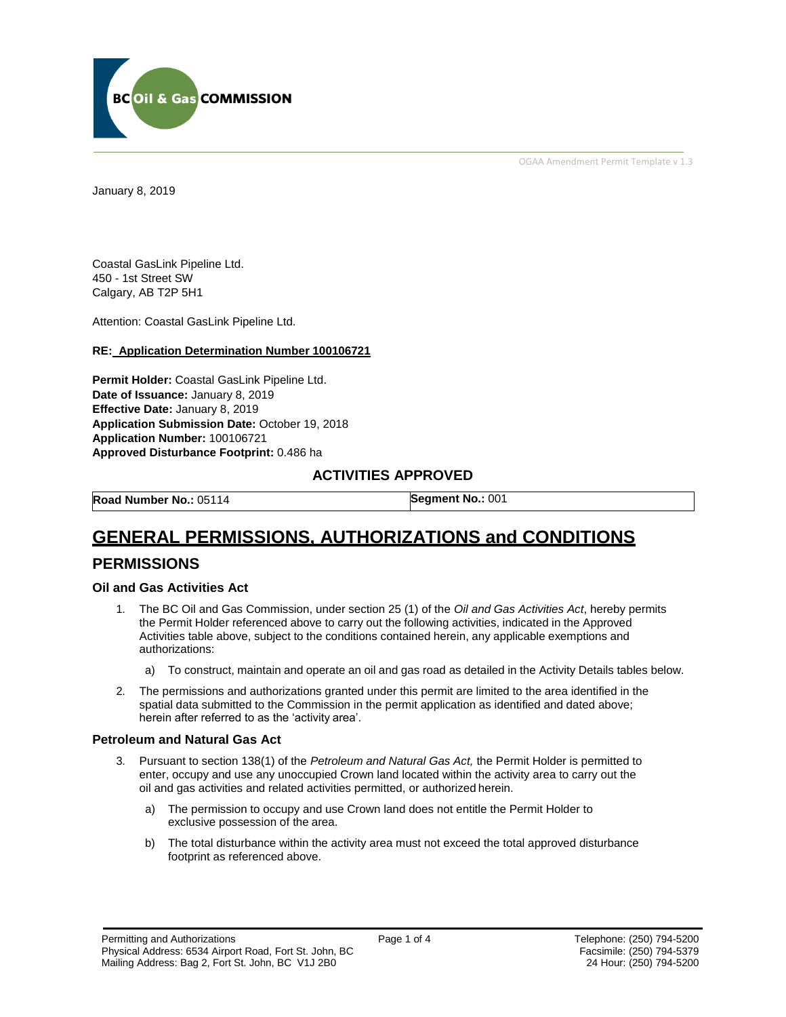

OGAA Amendment Permit Template v 1.3

January 8, 2019

Coastal GasLink Pipeline Ltd. 450 - 1st Street SW Calgary, AB T2P 5H1

Attention: Coastal GasLink Pipeline Ltd.

#### **RE: Application Determination Number 100106721**

**Permit Holder:** Coastal GasLink Pipeline Ltd. **Date of Issuance:** January 8, 2019 **Effective Date:** January 8, 2019 **Application Submission Date:** October 19, 2018 **Application Number:** 100106721 **Approved Disturbance Footprint:** 0.486 ha

#### **ACTIVITIES APPROVED**

**Road Number No.:** 05114 **Segment No.:** 001

# **GENERAL PERMISSIONS, AUTHORIZATIONS and CONDITIONS**

### **PERMISSIONS**

#### **Oil and Gas Activities Act**

- 1. The BC Oil and Gas Commission, under section 25 (1) of the *Oil and Gas Activities Act*, hereby permits the Permit Holder referenced above to carry out the following activities, indicated in the Approved Activities table above, subject to the conditions contained herein, any applicable exemptions and authorizations:
	- a) To construct, maintain and operate an oil and gas road as detailed in the Activity Details tables below.
- 2. The permissions and authorizations granted under this permit are limited to the area identified in the spatial data submitted to the Commission in the permit application as identified and dated above; herein after referred to as the 'activity area'.

#### **Petroleum and Natural Gas Act**

- 3. Pursuant to section 138(1) of the *Petroleum and Natural Gas Act,* the Permit Holder is permitted to enter, occupy and use any unoccupied Crown land located within the activity area to carry out the oil and gas activities and related activities permitted, or authorized herein.
	- a) The permission to occupy and use Crown land does not entitle the Permit Holder to exclusive possession of the area.
	- b) The total disturbance within the activity area must not exceed the total approved disturbance footprint as referenced above.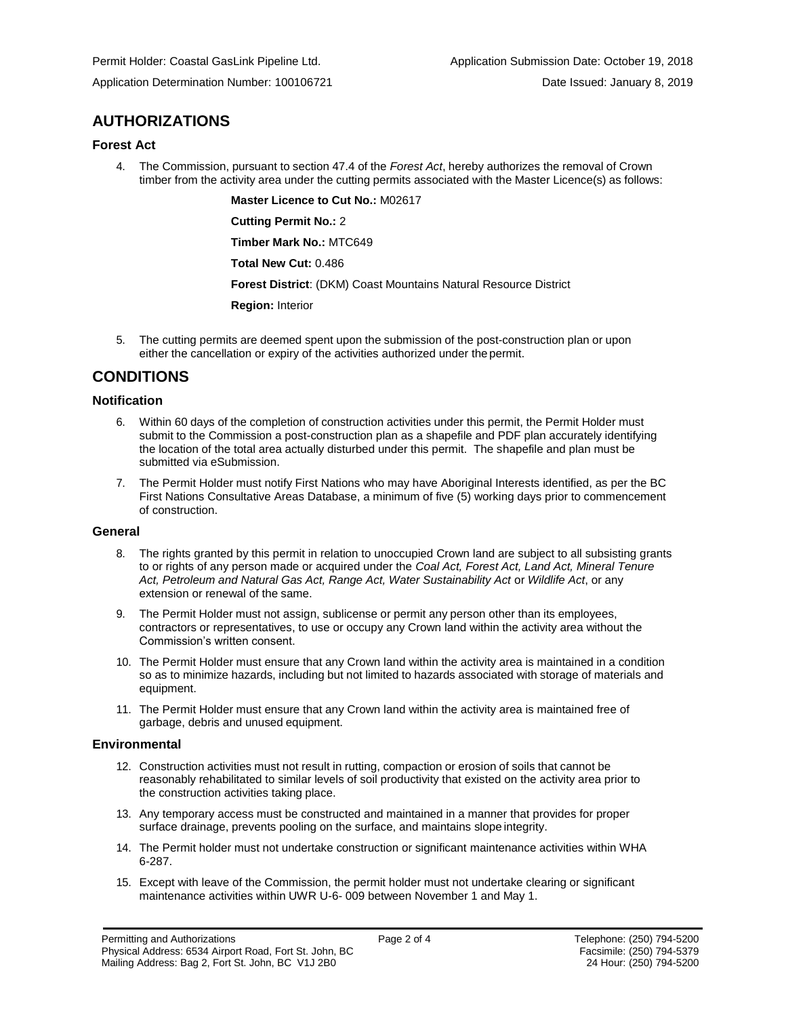## **AUTHORIZATIONS**

#### **Forest Act**

4. The Commission, pursuant to section 47.4 of the *Forest Act*, hereby authorizes the removal of Crown timber from the activity area under the cutting permits associated with the Master Licence(s) as follows:

**Master Licence to Cut No.:** M02617

**Cutting Permit No.:** 2

**Timber Mark No.:** MTC649

**Total New Cut:** 0.486

**Forest District**: (DKM) Coast Mountains Natural Resource District

**Region:** Interior

5. The cutting permits are deemed spent upon the submission of the post-construction plan or upon either the cancellation or expiry of the activities authorized under the permit.

## **CONDITIONS**

#### **Notification**

- 6. Within 60 days of the completion of construction activities under this permit, the Permit Holder must submit to the Commission a post-construction plan as a shapefile and PDF plan accurately identifying the location of the total area actually disturbed under this permit. The shapefile and plan must be submitted via eSubmission.
- 7. The Permit Holder must notify First Nations who may have Aboriginal Interests identified, as per the BC First Nations Consultative Areas Database, a minimum of five (5) working days prior to commencement of construction.

#### **General**

- 8. The rights granted by this permit in relation to unoccupied Crown land are subject to all subsisting grants to or rights of any person made or acquired under the *Coal Act, Forest Act, Land Act, Mineral Tenure Act, Petroleum and Natural Gas Act, Range Act, Water Sustainability Act* or *Wildlife Act*, or any extension or renewal of the same.
- 9. The Permit Holder must not assign, sublicense or permit any person other than its employees, contractors or representatives, to use or occupy any Crown land within the activity area without the Commission's written consent.
- 10. The Permit Holder must ensure that any Crown land within the activity area is maintained in a condition so as to minimize hazards, including but not limited to hazards associated with storage of materials and equipment.
- 11. The Permit Holder must ensure that any Crown land within the activity area is maintained free of garbage, debris and unused equipment.

#### **Environmental**

- 12. Construction activities must not result in rutting, compaction or erosion of soils that cannot be reasonably rehabilitated to similar levels of soil productivity that existed on the activity area prior to the construction activities taking place.
- 13. Any temporary access must be constructed and maintained in a manner that provides for proper surface drainage, prevents pooling on the surface, and maintains slope integrity.
- 14. The Permit holder must not undertake construction or significant maintenance activities within WHA 6-287.
- 15. Except with leave of the Commission, the permit holder must not undertake clearing or significant maintenance activities within UWR U-6- 009 between November 1 and May 1.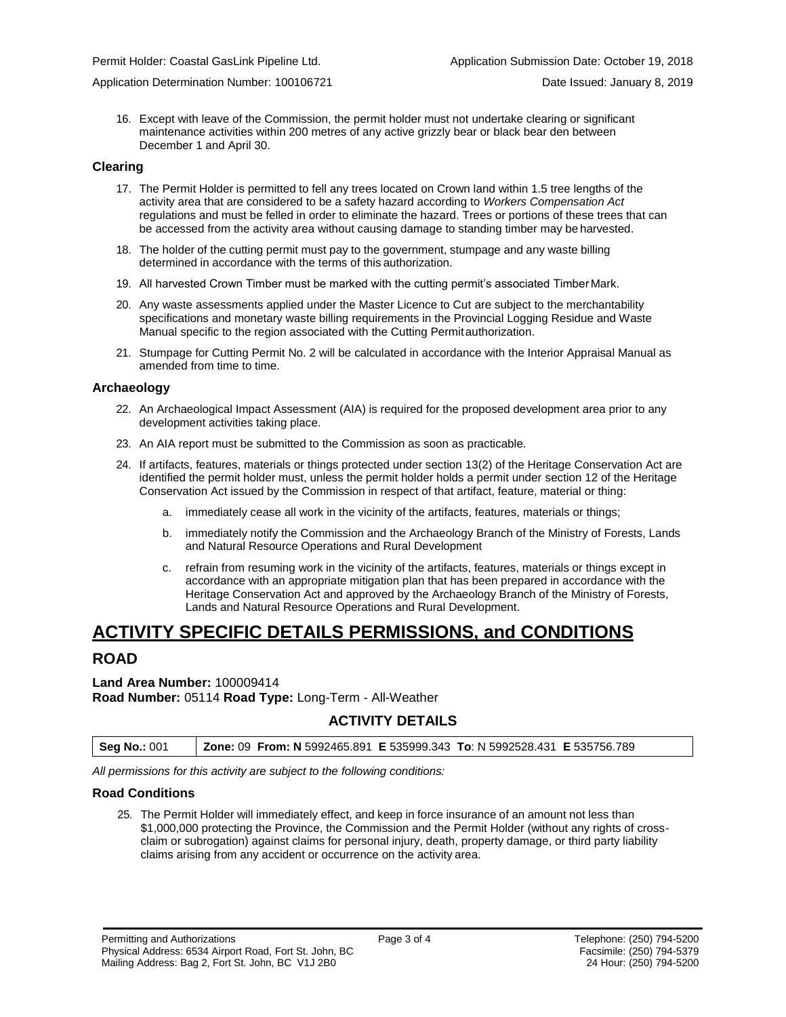Application Determination Number: 100106721 Date Issued: January 8, 2019

16. Except with leave of the Commission, the permit holder must not undertake clearing or significant maintenance activities within 200 metres of any active grizzly bear or black bear den between December 1 and April 30.

#### **Clearing**

- 17. The Permit Holder is permitted to fell any trees located on Crown land within 1.5 tree lengths of the activity area that are considered to be a safety hazard according to *Workers Compensation Act*  regulations and must be felled in order to eliminate the hazard. Trees or portions of these trees that can be accessed from the activity area without causing damage to standing timber may be harvested.
- 18. The holder of the cutting permit must pay to the government, stumpage and any waste billing determined in accordance with the terms of this authorization.
- 19. All harvested Crown Timber must be marked with the cutting permit's associated Timber Mark.
- 20. Any waste assessments applied under the Master Licence to Cut are subject to the merchantability specifications and monetary waste billing requirements in the Provincial Logging Residue and Waste Manual specific to the region associated with the Cutting Permitauthorization.
- 21. Stumpage for Cutting Permit No. 2 will be calculated in accordance with the Interior Appraisal Manual as amended from time to time.

#### **Archaeology**

- 22. An Archaeological Impact Assessment (AIA) is required for the proposed development area prior to any development activities taking place.
- 23. An AIA report must be submitted to the Commission as soon as practicable.
- 24. If artifacts, features, materials or things protected under section 13(2) of the Heritage Conservation Act are identified the permit holder must, unless the permit holder holds a permit under section 12 of the Heritage Conservation Act issued by the Commission in respect of that artifact, feature, material or thing:
	- a. immediately cease all work in the vicinity of the artifacts, features, materials or things;
	- b. immediately notify the Commission and the Archaeology Branch of the Ministry of Forests, Lands and Natural Resource Operations and Rural Development
	- c. refrain from resuming work in the vicinity of the artifacts, features, materials or things except in accordance with an appropriate mitigation plan that has been prepared in accordance with the Heritage Conservation Act and approved by the Archaeology Branch of the Ministry of Forests, Lands and Natural Resource Operations and Rural Development.

## **ACTIVITY SPECIFIC DETAILS PERMISSIONS, and CONDITIONS**

#### **ROAD**

**Land Area Number:** 100009414 **Road Number:** 05114 **Road Type:** Long-Term - All-Weather

#### **ACTIVITY DETAILS**

**Seg No.:** 001 **Zone:** 09 **From: N** 5992465.891 **E** 535999.343 **To**: N 5992528.431 **E** 535756.789

*All permissions for this activity are subject to the following conditions:*

#### **Road Conditions**

25. The Permit Holder will immediately effect, and keep in force insurance of an amount not less than \$1,000,000 protecting the Province, the Commission and the Permit Holder (without any rights of crossclaim or subrogation) against claims for personal injury, death, property damage, or third party liability claims arising from any accident or occurrence on the activity area.